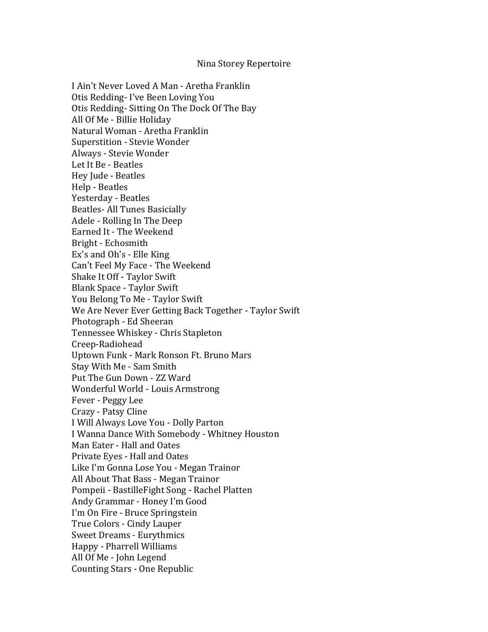## Nina Storey Repertoire

I Ain't Never Loved A Man - Aretha Franklin Otis Redding- I've Been Loving You Otis Redding-Sitting On The Dock Of The Bay All Of Me - Billie Holiday Natural Woman - Aretha Franklin Superstition - Stevie Wonder Always - Stevie Wonder Let It Be - Beatles Hey Jude - Beatles Help - Beatles Yesterday - Beatles Beatles- All Tunes Basicially Adele - Rolling In The Deep Earned It - The Weekend Bright - Echosmith Ex's and Oh's - Elle King Can't Feel My Face - The Weekend Shake It Off - Taylor Swift Blank Space - Taylor Swift You Belong To Me - Taylor Swift We Are Never Ever Getting Back Together - Taylor Swift Photograph - Ed Sheeran Tennessee Whiskey - Chris Stapleton Creep-Radiohead Uptown Funk - Mark Ronson Ft. Bruno Mars Stay With Me - Sam Smith Put The Gun Down - ZZ Ward Wonderful World - Louis Armstrong Fever - Peggy Lee Crazy - Patsy Cline I Will Always Love You - Dolly Parton I Wanna Dance With Somebody - Whitney Houston Man Eater - Hall and Oates Private Eyes - Hall and Oates Like I'm Gonna Lose You - Megan Trainor All About That Bass - Megan Trainor Pompeii - BastilleFight Song - Rachel Platten Andy Grammar - Honey I'm Good I'm On Fire - Bruce Springstein True Colors - Cindy Lauper Sweet Dreams - Eurythmics Happy - Pharrell Williams All Of Me - John Legend Counting Stars - One Republic